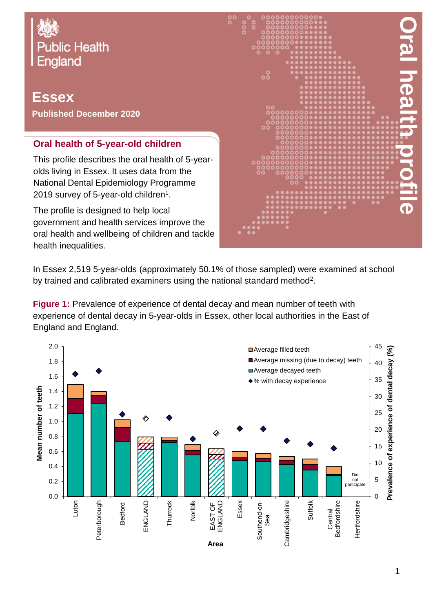

# **Essex Published December 2020**

## **Oral health of 5-year-old children**

This profile describes the oral health of 5-yearolds living in Essex. It uses data from the National Dental Epidemiology Programme 2019 survey of 5-year-old children $^{\rm 1}.$ 

The profile is designed to help local government and health services improve the oral health and wellbeing of children and tackle health inequalities.



In Essex 2,519 5-year-olds (approximately 50.1% of those sampled) were examined at school by trained and calibrated examiners using the national standard method<sup>2</sup>.

**Figure 1:** Prevalence of experience of dental decay and mean number of teeth with experience of dental decay in 5-year-olds in Essex, other local authorities in the East of England and England.

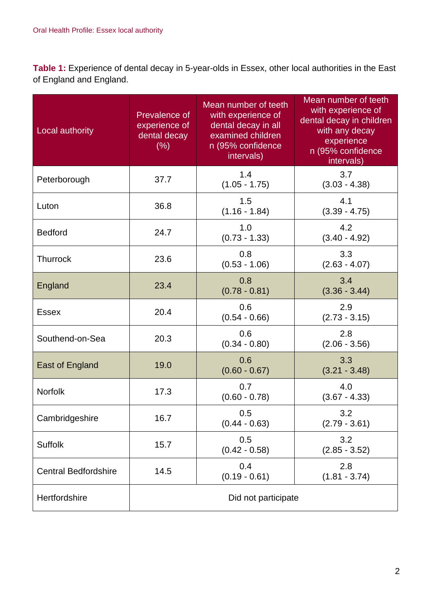**Table 1:** Experience of dental decay in 5-year-olds in Essex, other local authorities in the East of England and England.

| Local authority             | Prevalence of<br>experience of<br>dental decay<br>(% ) | Mean number of teeth<br>with experience of<br>dental decay in all<br>examined children<br>n (95% confidence<br>intervals) | Mean number of teeth<br>with experience of<br>dental decay in children<br>with any decay<br>experience<br>n (95% confidence<br>intervals) |
|-----------------------------|--------------------------------------------------------|---------------------------------------------------------------------------------------------------------------------------|-------------------------------------------------------------------------------------------------------------------------------------------|
| Peterborough                | 37.7                                                   | 1.4<br>$(1.05 - 1.75)$                                                                                                    | 3.7<br>$(3.03 - 4.38)$                                                                                                                    |
| Luton                       | 36.8                                                   | 1.5<br>$(1.16 - 1.84)$                                                                                                    | 4.1<br>$(3.39 - 4.75)$                                                                                                                    |
| <b>Bedford</b>              | 24.7                                                   | 1.0<br>$(0.73 - 1.33)$                                                                                                    | 4.2<br>$(3.40 - 4.92)$                                                                                                                    |
| <b>Thurrock</b>             | 23.6                                                   | 0.8<br>$(0.53 - 1.06)$                                                                                                    | 3.3<br>$(2.63 - 4.07)$                                                                                                                    |
| England                     | 23.4                                                   | 0.8<br>$(0.78 - 0.81)$                                                                                                    | 3.4<br>$(3.36 - 3.44)$                                                                                                                    |
| <b>Essex</b>                | 20.4                                                   | 0.6<br>$(0.54 - 0.66)$                                                                                                    | 2.9<br>$(2.73 - 3.15)$                                                                                                                    |
| Southend-on-Sea             | 20.3                                                   | 0.6<br>$(0.34 - 0.80)$                                                                                                    | 2.8<br>$(2.06 - 3.56)$                                                                                                                    |
| <b>East of England</b>      | 19.0                                                   | 0.6<br>$(0.60 - 0.67)$                                                                                                    | 3.3<br>$(3.21 - 3.48)$                                                                                                                    |
| <b>Norfolk</b>              | 17.3                                                   | 0.7<br>$(0.60 - 0.78)$                                                                                                    | 4.0<br>$(3.67 - 4.33)$                                                                                                                    |
| Cambridgeshire              | 16.7                                                   | 0.5<br>$(0.44 - 0.63)$                                                                                                    | 3.2<br>$(2.79 - 3.61)$                                                                                                                    |
| <b>Suffolk</b>              | 15.7                                                   | 0.5<br>$(0.42 - 0.58)$                                                                                                    | 3.2<br>$(2.85 - 3.52)$                                                                                                                    |
| <b>Central Bedfordshire</b> | 14.5                                                   | 0.4<br>$(0.19 - 0.61)$                                                                                                    | 2.8<br>$(1.81 - 3.74)$                                                                                                                    |
| Hertfordshire               | Did not participate                                    |                                                                                                                           |                                                                                                                                           |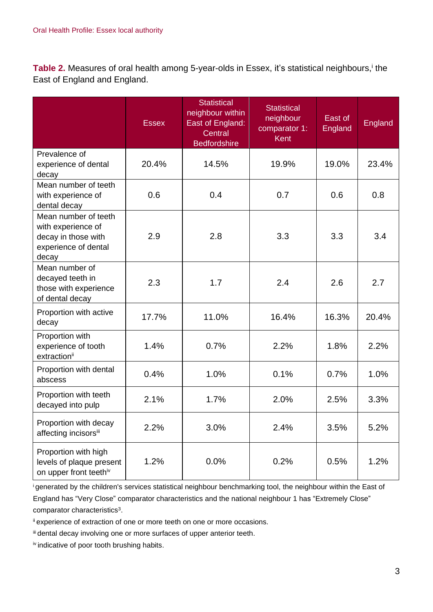Table 2. Measures of oral health among 5-year-olds in Essex, it's statistical neighbours,<sup>i</sup> the East of England and England.

|                                                                                                    | <b>Essex</b> | <b>Statistical</b><br>neighbour within<br><b>East of England:</b><br>Central<br><b>Bedfordshire</b> | <b>Statistical</b><br>neighbour<br>comparator 1:<br>Kent | East of<br>England | England |
|----------------------------------------------------------------------------------------------------|--------------|-----------------------------------------------------------------------------------------------------|----------------------------------------------------------|--------------------|---------|
| Prevalence of<br>experience of dental<br>decay                                                     | 20.4%        | 14.5%                                                                                               | 19.9%                                                    | 19.0%              | 23.4%   |
| Mean number of teeth<br>with experience of<br>dental decay                                         | 0.6          | 0.4                                                                                                 | 0.7                                                      | 0.6                | 0.8     |
| Mean number of teeth<br>with experience of<br>decay in those with<br>experience of dental<br>decay | 2.9          | 2.8                                                                                                 | 3.3                                                      | 3.3                | 3.4     |
| Mean number of<br>decayed teeth in<br>those with experience<br>of dental decay                     | 2.3          | 1.7                                                                                                 | 2.4                                                      | 2.6                | 2.7     |
| Proportion with active<br>decay                                                                    | 17.7%        | 11.0%                                                                                               | 16.4%                                                    | 16.3%              | 20.4%   |
| Proportion with<br>experience of tooth<br>extraction <sup>ii</sup>                                 | 1.4%         | 0.7%                                                                                                | 2.2%                                                     | 1.8%               | 2.2%    |
| Proportion with dental<br>abscess                                                                  | 0.4%         | 1.0%                                                                                                | 0.1%                                                     | 0.7%               | 1.0%    |
| Proportion with teeth<br>decayed into pulp                                                         | 2.1%         | 1.7%                                                                                                | 2.0%                                                     | 2.5%               | 3.3%    |
| Proportion with decay<br>affecting incisorsii                                                      | 2.2%         | 3.0%                                                                                                | 2.4%                                                     | 3.5%               | 5.2%    |
| Proportion with high<br>levels of plaque present<br>on upper front teethiv                         | 1.2%         | 0.0%                                                                                                | 0.2%                                                     | 0.5%               | 1.2%    |

<sup>i</sup>generated by the children's services statistical neighbour benchmarking tool, the neighbour within the East of England has "Very Close" comparator characteristics and the national neighbour 1 has "Extremely Close" comparator characteristics<sup>3</sup>.

ii experience of extraction of one or more teeth on one or more occasions.

iii dental decay involving one or more surfaces of upper anterior teeth.

iv indicative of poor tooth brushing habits.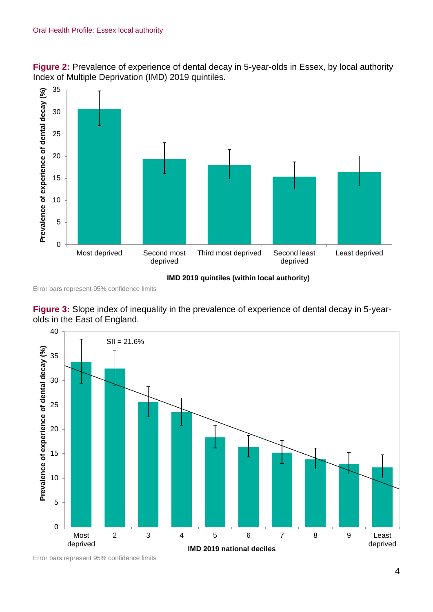**Figure 2:** Prevalence of experience of dental decay in 5-year-olds in Essex, by local authority Index of Multiple Deprivation (IMD) 2019 quintiles.



Error bars represent 95% confidence limits





Error bars represent 95% confidence limits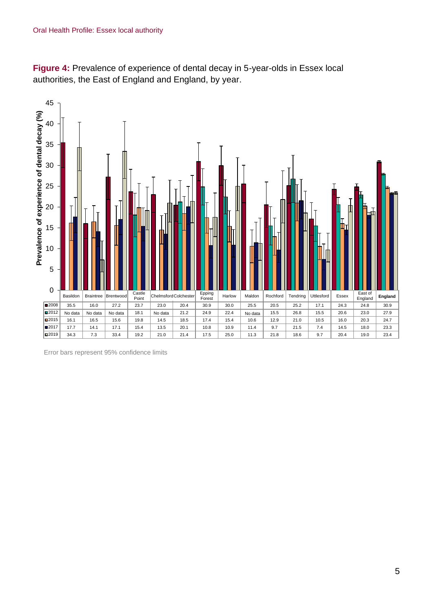**Figure 4:** Prevalence of experience of dental decay in 5-year-olds in Essex local authorities, the East of England and England, by year.



Error bars represent 95% confidence limits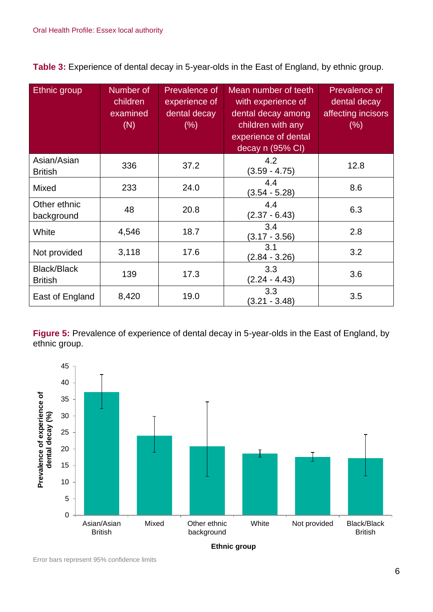**Table 3:** Experience of dental decay in 5-year-olds in the East of England, by ethnic group.

| Ethnic group                         | Number of<br>children<br>examined<br>(N) | Prevalence of<br>experience of<br>dental decay<br>$(\%)$ | Mean number of teeth<br>with experience of<br>dental decay among<br>children with any<br>experience of dental<br>decay n (95% CI) | Prevalence of<br>dental decay<br>affecting incisors<br>(% ) |
|--------------------------------------|------------------------------------------|----------------------------------------------------------|-----------------------------------------------------------------------------------------------------------------------------------|-------------------------------------------------------------|
| Asian/Asian<br><b>British</b>        | 336                                      | 37.2                                                     | 4.2<br>$(3.59 - 4.75)$                                                                                                            | 12.8                                                        |
| <b>Mixed</b>                         | 233                                      | 24.0                                                     | 4.4<br>$(3.54 - 5.28)$                                                                                                            | 8.6                                                         |
| Other ethnic<br>background           | 48                                       | 20.8                                                     | 4.4<br>$(2.37 - 6.43)$                                                                                                            | 6.3                                                         |
| White                                | 4,546                                    | 18.7                                                     | 3.4<br>$(3.17 - 3.56)$                                                                                                            | 2.8                                                         |
| Not provided                         | 3,118                                    | 17.6                                                     | 3.1<br>$(2.84 - 3.26)$                                                                                                            | 3.2                                                         |
| <b>Black/Black</b><br><b>British</b> | 139                                      | 17.3                                                     | 3.3<br>$(2.24 - 4.43)$                                                                                                            | 3.6                                                         |
| East of England                      | 8,420                                    | 19.0                                                     | 3.3<br>$(3.21 - 3.48)$                                                                                                            | 3.5                                                         |

**Figure 5:** Prevalence of experience of dental decay in 5-year-olds in the East of England, by ethnic group.



Error bars represent 95% confidence limits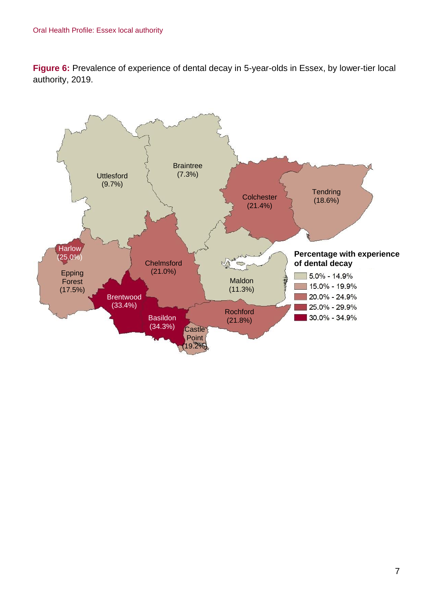**Figure 6:** Prevalence of experience of dental decay in 5-year-olds in Essex, by lower-tier local authority, 2019.

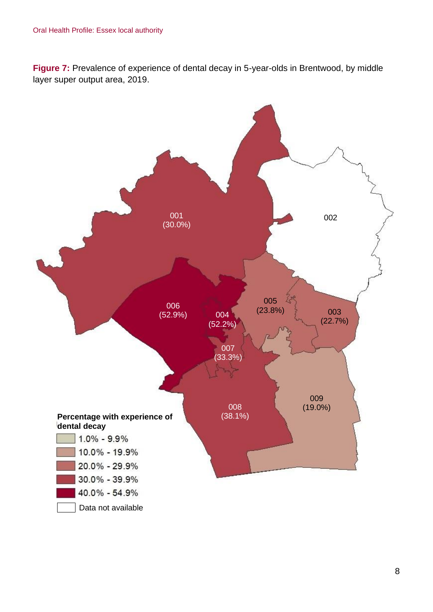**Figure 7:** Prevalence of experience of dental decay in 5-year-olds in Brentwood, by middle layer super output area, 2019.

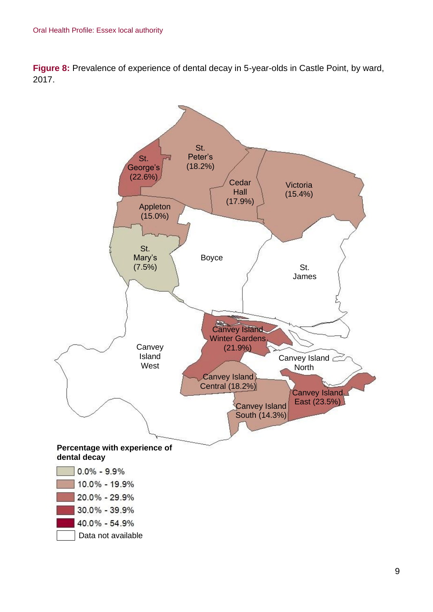**Figure 8:** Prevalence of experience of dental decay in 5-year-olds in Castle Point, by ward, 2017.

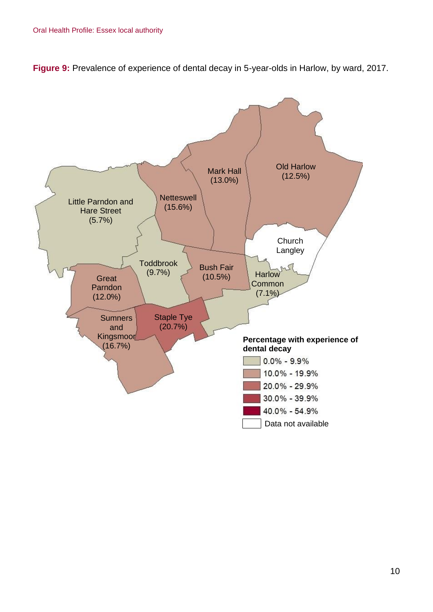**Figure 9:** Prevalence of experience of dental decay in 5-year-olds in Harlow, by ward, 2017.

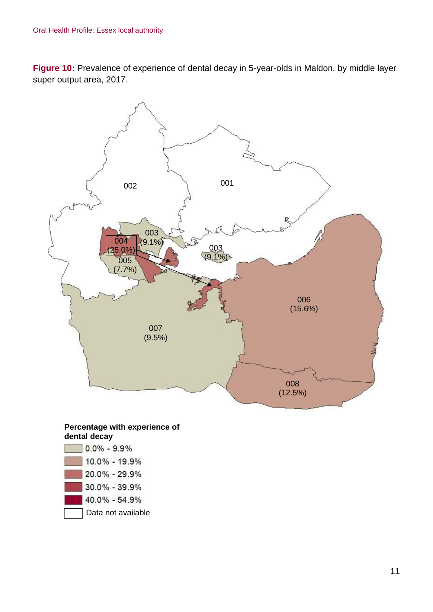**Figure 10:** Prevalence of experience of dental decay in 5-year-olds in Maldon, by middle layer super output area, 2017.



#### **Percentage with experience of dental decay**

| $0.0\% - 9.9\%$    |
|--------------------|
| 10.0% - 19.9%      |
| 20.0% - 29.9%      |
| 30.0% - 39.9%      |
| 40.0% - 54.9%      |
| Data not available |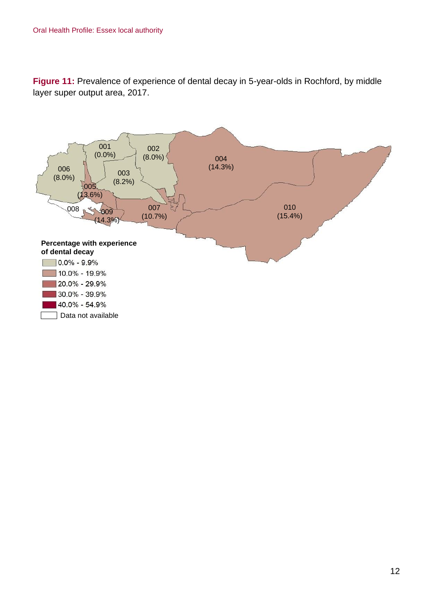**Figure 11:** Prevalence of experience of dental decay in 5-year-olds in Rochford, by middle layer super output area, 2017.

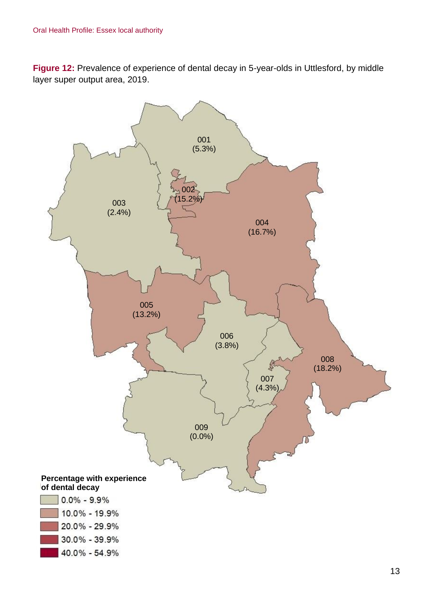**Figure 12:** Prevalence of experience of dental decay in 5-year-olds in Uttlesford, by middle layer super output area, 2019.

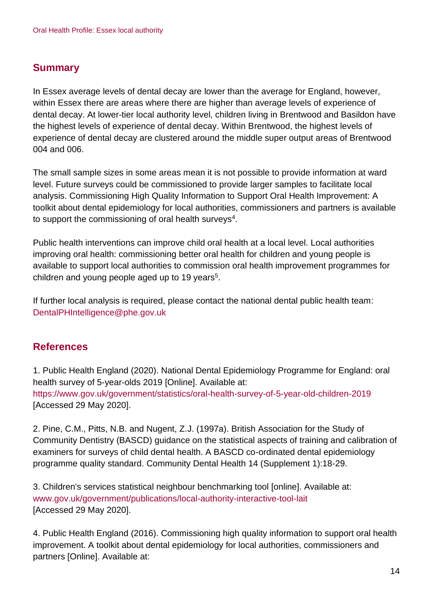### **Summary**

In Essex average levels of dental decay are lower than the average for England, however, within Essex there are areas where there are higher than average levels of experience of dental decay. At lower-tier local authority level, children living in Brentwood and Basildon have the highest levels of experience of dental decay. Within Brentwood, the highest levels of experience of dental decay are clustered around the middle super output areas of Brentwood 004 and 006.

The small sample sizes in some areas mean it is not possible to provide information at ward level. Future surveys could be commissioned to provide larger samples to facilitate local analysis. Commissioning High Quality Information to Support Oral Health Improvement: A toolkit about dental epidemiology for local authorities, commissioners and partners is available to support the commissioning of oral health surveys $^4$ .

Public health interventions can improve child oral health at a local level. Local authorities improving oral health: commissioning better oral health for children and young people is available to support local authorities to commission oral health improvement programmes for children and young people aged up to 19 years<sup>5</sup>.

If further local analysis is required, please contact the national dental public health team: DentalPHIntelligence@phe.gov.uk

### **References**

1. Public Health England (2020). National Dental Epidemiology Programme for England: oral health survey of 5-year-olds 2019 [Online]. Available at: <https://www.gov.uk/government/statistics/oral-health-survey-of-5-year-old-children-2019> [Accessed 29 May 2020].

2. Pine, C.M., Pitts, N.B. and Nugent, Z.J. (1997a). British Association for the Study of Community Dentistry (BASCD) guidance on the statistical aspects of training and calibration of examiners for surveys of child dental health. A BASCD co-ordinated dental epidemiology programme quality standard. Community Dental Health 14 (Supplement 1):18-29.

3. Children's services statistical neighbour benchmarking tool [online]. Available at: [www.gov.uk/government/publications/local-authority-interactive-tool-lait](http://www.gov.uk/government/publications/local-authority-interactive-tool-lait) [Accessed 29 May 2020].

4. Public Health England (2016). Commissioning high quality information to support oral health improvement. A toolkit about dental epidemiology for local authorities, commissioners and partners [Online]. Available at: